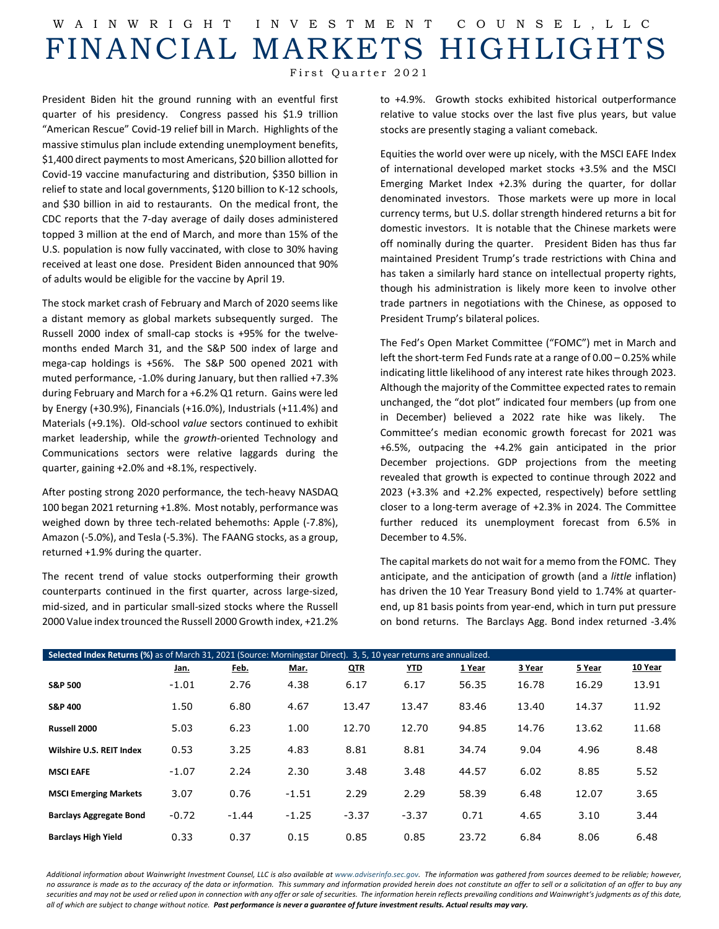## W AINWRIGHT INVESTMENT COUNSEL ,LLC FINANCIAL MARKETS HIGHLIGHTS

First Quarter 2021

President Biden hit the ground running with an eventful first quarter of his presidency. Congress passed his \$1.9 trillion "American Rescue" Covid-19 relief bill in March. Highlights of the massive stimulus plan include extending unemployment benefits, \$1,400 direct payments to most Americans, \$20 billion allotted for Covid-19 vaccine manufacturing and distribution, \$350 billion in relief to state and local governments, \$120 billion to K-12 schools, and \$30 billion in aid to restaurants. On the medical front, the CDC reports that the 7-day average of daily doses administered topped 3 million at the end of March, and more than 15% of the U.S. population is now fully vaccinated, with close to 30% having received at least one dose. President Biden announced that 90% of adults would be eligible for the vaccine by April 19.

The stock market crash of February and March of 2020 seems like a distant memory as global markets subsequently surged. The Russell 2000 index of small-cap stocks is +95% for the twelvemonths ended March 31, and the S&P 500 index of large and mega-cap holdings is +56%. The S&P 500 opened 2021 with muted performance, -1.0% during January, but then rallied +7.3% during February and March for a +6.2% Q1 return. Gains were led by Energy (+30.9%), Financials (+16.0%), Industrials (+11.4%) and Materials (+9.1%). Old-school *value* sectors continued to exhibit market leadership, while the *growth*-oriented Technology and Communications sectors were relative laggards during the quarter, gaining +2.0% and +8.1%, respectively.

After posting strong 2020 performance, the tech-heavy NASDAQ 100 began 2021 returning +1.8%. Most notably, performance was weighed down by three tech-related behemoths: Apple (-7.8%), Amazon (-5.0%), and Tesla (-5.3%). The FAANG stocks, as a group, returned +1.9% during the quarter.

The recent trend of value stocks outperforming their growth counterparts continued in the first quarter, across large-sized, mid-sized, and in particular small-sized stocks where the Russell 2000 Value index trounced the Russell 2000 Growth index, +21.2% to +4.9%. Growth stocks exhibited historical outperformance relative to value stocks over the last five plus years, but value stocks are presently staging a valiant comeback.

Equities the world over were up nicely, with the MSCI EAFE Index of international developed market stocks +3.5% and the MSCI Emerging Market Index +2.3% during the quarter, for dollar denominated investors. Those markets were up more in local currency terms, but U.S. dollar strength hindered returns a bit for domestic investors. It is notable that the Chinese markets were off nominally during the quarter. President Biden has thus far maintained President Trump's trade restrictions with China and has taken a similarly hard stance on intellectual property rights, though his administration is likely more keen to involve other trade partners in negotiations with the Chinese, as opposed to President Trump's bilateral polices.

The Fed's Open Market Committee ("FOMC") met in March and left the short-term Fed Funds rate at a range of  $0.00 - 0.25\%$  while indicating little likelihood of any interest rate hikes through 2023. Although the majority of the Committee expected rates to remain unchanged, the "dot plot" indicated four members (up from one in December) believed a 2022 rate hike was likely. The Committee's median economic growth forecast for 2021 was +6.5%, outpacing the +4.2% gain anticipated in the prior December projections. GDP projections from the meeting revealed that growth is expected to continue through 2022 and 2023 (+3.3% and +2.2% expected, respectively) before settling closer to a long-term average of +2.3% in 2024. The Committee further reduced its unemployment forecast from 6.5% in December to 4.5%.

The capital markets do not wait for a memo from the FOMC. They anticipate, and the anticipation of growth (and a *little* inflation) has driven the 10 Year Treasury Bond yield to 1.74% at quarterend, up 81 basis points from year-end, which in turn put pressure on bond returns. The Barclays Agg. Bond index returned -3.4%

| Selected Index Returns (%) as of March 31, 2021 (Source: Morningstar Direct). 3, 5, 10 year returns are annualized. |         |             |         |            |            |        |        |        |         |  |  |
|---------------------------------------------------------------------------------------------------------------------|---------|-------------|---------|------------|------------|--------|--------|--------|---------|--|--|
|                                                                                                                     | Jan.    | <u>Feb.</u> | Mar.    | <b>QTR</b> | <u>YTD</u> | 1 Year | 3 Year | 5 Year | 10 Year |  |  |
| <b>S&amp;P 500</b>                                                                                                  | $-1.01$ | 2.76        | 4.38    | 6.17       | 6.17       | 56.35  | 16.78  | 16.29  | 13.91   |  |  |
| <b>S&amp;P 400</b>                                                                                                  | 1.50    | 6.80        | 4.67    | 13.47      | 13.47      | 83.46  | 13.40  | 14.37  | 11.92   |  |  |
| Russell 2000                                                                                                        | 5.03    | 6.23        | 1.00    | 12.70      | 12.70      | 94.85  | 14.76  | 13.62  | 11.68   |  |  |
| Wilshire U.S. REIT Index                                                                                            | 0.53    | 3.25        | 4.83    | 8.81       | 8.81       | 34.74  | 9.04   | 4.96   | 8.48    |  |  |
| <b>MSCI EAFE</b>                                                                                                    | $-1.07$ | 2.24        | 2.30    | 3.48       | 3.48       | 44.57  | 6.02   | 8.85   | 5.52    |  |  |
| <b>MSCI Emerging Markets</b>                                                                                        | 3.07    | 0.76        | $-1.51$ | 2.29       | 2.29       | 58.39  | 6.48   | 12.07  | 3.65    |  |  |
| <b>Barclays Aggregate Bond</b>                                                                                      | $-0.72$ | $-1.44$     | $-1.25$ | $-3.37$    | $-3.37$    | 0.71   | 4.65   | 3.10   | 3.44    |  |  |
| <b>Barclays High Yield</b>                                                                                          | 0.33    | 0.37        | 0.15    | 0.85       | 0.85       | 23.72  | 6.84   | 8.06   | 6.48    |  |  |

Additional information about Wainwright Investment Counsel, LLC is also available a[t www.adviserinfo.sec.gov.](http://www.adviserinfo.sec.gov/) The information was aathered from sources deemed to be reliable; however, *no assurance is made as to the accuracy of the data or information. This summary and information provided herein does not constitute an offer to sell or a solicitation of an offer to buy any securities and may not be used or relied upon in connection with any offer or sale of securities. The information herein reflects prevailing conditions and Wainwright's judgments as of this date, all of which are subject to change without notice. Past performance is never a guarantee of future investment results. Actual results may vary.*